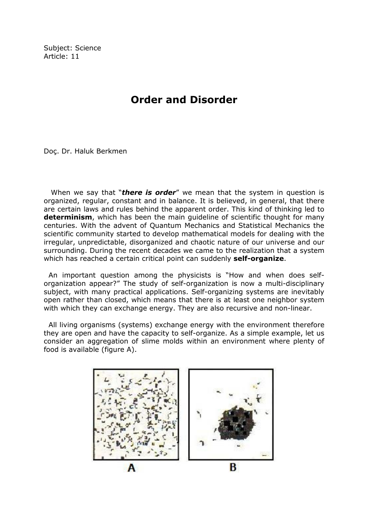Subject: Science Article: 11

## Order and Disorder

Doç. Dr. Haluk Berkmen

When we say that "**there is order**" we mean that the system in question is organized, regular, constant and in balance. It is believed, in general, that there are certain laws and rules behind the apparent order. This kind of thinking led to **determinism**, which has been the main guideline of scientific thought for many centuries. With the advent of Quantum Mechanics and Statistical Mechanics the scientific community started to develop mathematical models for dealing with the irregular, unpredictable, disorganized and chaotic nature of our universe and our surrounding. During the recent decades we came to the realization that a system which has reached a certain critical point can suddenly self-organize.

 An important question among the physicists is "How and when does selforganization appear?" The study of self-organization is now a multi-disciplinary subject, with many practical applications. Self-organizing systems are inevitably open rather than closed, which means that there is at least one neighbor system with which they can exchange energy. They are also recursive and non-linear.

 All living organisms (systems) exchange energy with the environment therefore they are open and have the capacity to self-organize. As a simple example, let us consider an aggregation of slime molds within an environment where plenty of food is available (figure A).

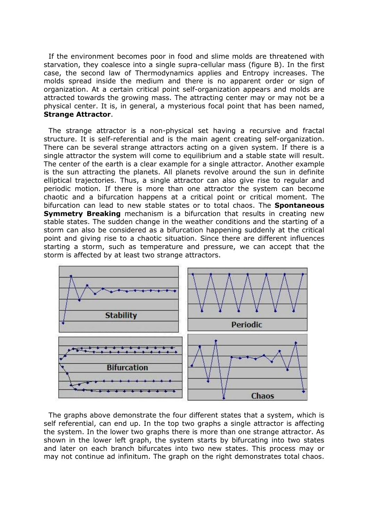If the environment becomes poor in food and slime molds are threatened with starvation, they coalesce into a single supra-cellular mass (figure B). In the first case, the second law of Thermodynamics applies and Entropy increases. The molds spread inside the medium and there is no apparent order or sign of organization. At a certain critical point self-organization appears and molds are attracted towards the growing mass. The attracting center may or may not be a physical center. It is, in general, a mysterious focal point that has been named, Strange Attractor.

 The strange attractor is a non-physical set having a recursive and fractal structure. It is self-referential and is the main agent creating self-organization. There can be several strange attractors acting on a given system. If there is a single attractor the system will come to equilibrium and a stable state will result. The center of the earth is a clear example for a single attractor. Another example is the sun attracting the planets. All planets revolve around the sun in definite elliptical trajectories. Thus, a single attractor can also give rise to regular and periodic motion. If there is more than one attractor the system can become chaotic and a bifurcation happens at a critical point or critical moment. The bifurcation can lead to new stable states or to total chaos. The **Spontaneous Symmetry Breaking** mechanism is a bifurcation that results in creating new stable states. The sudden change in the weather conditions and the starting of a storm can also be considered as a bifurcation happening suddenly at the critical point and giving rise to a chaotic situation. Since there are different influences starting a storm, such as temperature and pressure, we can accept that the storm is affected by at least two strange attractors.



 The graphs above demonstrate the four different states that a system, which is self referential, can end up. In the top two graphs a single attractor is affecting the system. In the lower two graphs there is more than one strange attractor. As shown in the lower left graph, the system starts by bifurcating into two states and later on each branch bifurcates into two new states. This process may or may not continue ad infinitum. The graph on the right demonstrates total chaos.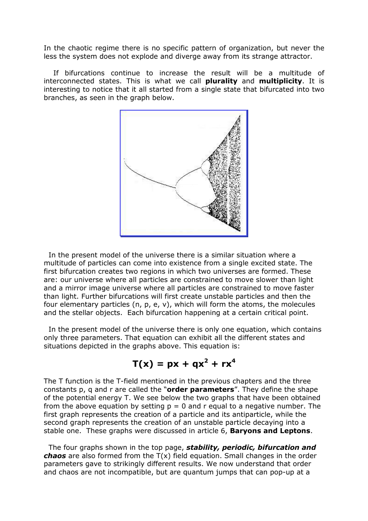In the chaotic regime there is no specific pattern of organization, but never the less the system does not explode and diverge away from its strange attractor.

 If bifurcations continue to increase the result will be a multitude of interconnected states. This is what we call **plurality** and **multiplicity**. It is interesting to notice that it all started from a single state that bifurcated into two branches, as seen in the graph below.



 In the present model of the universe there is a similar situation where a multitude of particles can come into existence from a single excited state. The first bifurcation creates two regions in which two universes are formed. These are: our universe where all particles are constrained to move slower than light and a mirror image universe where all particles are constrained to move faster than light. Further bifurcations will first create unstable particles and then the four elementary particles (n, p, e, v), which will form the atoms, the molecules and the stellar objects. Each bifurcation happening at a certain critical point.

 In the present model of the universe there is only one equation, which contains only three parameters. That equation can exhibit all the different states and situations depicted in the graphs above. This equation is:

$$
T(x) = px + qx^2 + rx^4
$$

The T function is the T-field mentioned in the previous chapters and the three constants  $p$ ,  $q$  and  $r$  are called the "order parameters". They define the shape of the potential energy T. We see below the two graphs that have been obtained from the above equation by setting  $p = 0$  and r equal to a negative number. The first graph represents the creation of a particle and its antiparticle, while the second graph represents the creation of an unstable particle decaying into a stable one. These graphs were discussed in article 6, **Baryons and Leptons**.

The four graphs shown in the top page, stability, periodic, bifurcation and **chaos** are also formed from the  $T(x)$  field equation. Small changes in the order parameters gave to strikingly different results. We now understand that order and chaos are not incompatible, but are quantum jumps that can pop-up at a